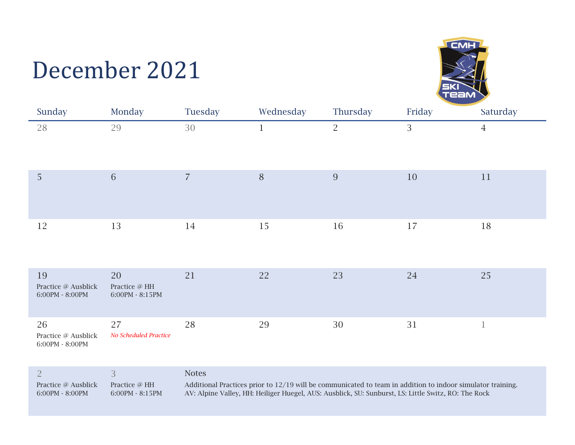## December 2021



| Sunday                                                             | Monday                                                         | Tuesday        | Wednesday    | Thursday       | Friday | Saturday       |
|--------------------------------------------------------------------|----------------------------------------------------------------|----------------|--------------|----------------|--------|----------------|
| 28                                                                 | 29                                                             | 30             | $\mathbf{1}$ | $\overline{2}$ | 3      | $\overline{4}$ |
| 5                                                                  | 6                                                              | $\overline{7}$ | $\, 8$       | 9              | 10     | 11             |
| 12                                                                 | 13                                                             | 14             | 15           | 16             | 17     | $18\,$         |
| 19<br>Practice @ Ausblick<br>$6:00\mathrm{PM}$ - $8:00\mathrm{PM}$ | 20<br>Practice $@$ HH<br>$6:00\mathrm{PM}$ - $8:15\mathrm{PM}$ | 21             | 22           | 23             | 24     | 25             |
| 26<br>Practice @ Ausblick<br>$6:00\mathrm{PM}$ - $8:00\mathrm{PM}$ | 27<br>No Scheduled Practice                                    | 28             | 29           | 30             | 31     | $\mathbf{1}$   |

|                     |                   | <b>Notes</b>                                                                                                 |
|---------------------|-------------------|--------------------------------------------------------------------------------------------------------------|
| Practice @ Ausblick | Practice @ HH     | Additional Practices prior to $12/19$ will be communicated to team in addition to indoor simulator training. |
| $6:00PM - 8:00PM$   | $6.00PM - 8.15PM$ | AV: Alpine Valley, HH: Heiliger Huegel, AUS: Ausblick, SU: Sunburst, LS: Little Switz, RO: The Rock          |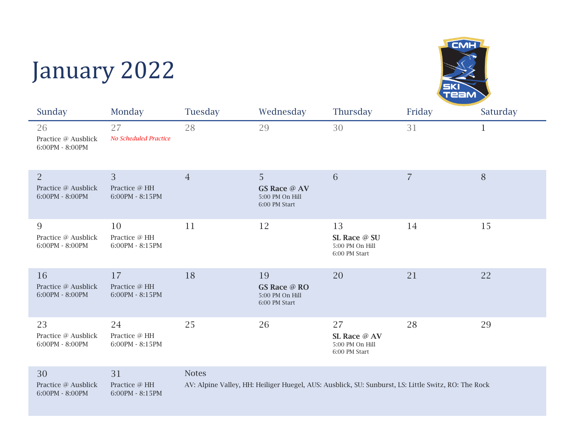## January 2022



| Sunday                                                   | Monday                                             | Tuesday                                                                                                             | Wednesday                                                     | Thursday                                               | Friday         | Saturday     |
|----------------------------------------------------------|----------------------------------------------------|---------------------------------------------------------------------------------------------------------------------|---------------------------------------------------------------|--------------------------------------------------------|----------------|--------------|
| 26<br>Practice @ Ausblick<br>6:00PM - 8:00PM             | 27<br>No Scheduled Practice                        | 28                                                                                                                  | 29                                                            | 30                                                     | 31             | $\mathbf{1}$ |
| $\overline{2}$<br>Practice @ Ausblick<br>6:00PM - 8:00PM | $\overline{3}$<br>Practice @ HH<br>6:00PM - 8:15PM | $\overline{4}$                                                                                                      | 5<br><b>GS Race @ AV</b><br>5:00 PM On Hill<br>6:00 PM Start  | 6                                                      | $\overline{7}$ | 8            |
| 9<br>Practice @ Ausblick<br>6:00PM - 8:00PM              | 10<br>Practice @ HH<br>6:00PM - 8:15PM             | 11                                                                                                                  | 12                                                            | 13<br>SL Race @ SU<br>5:00 PM On Hill<br>6:00 PM Start | 14             | 15           |
| 16<br>Practice @ Ausblick<br>6:00PM - 8:00PM             | 17<br>Practice @ HH<br>6:00PM - 8:15PM             | 18                                                                                                                  | 19<br><b>GS Race @ RO</b><br>5:00 PM On Hill<br>6:00 PM Start | 20                                                     | 21             | 22           |
| 23<br>Practice @ Ausblick<br>6:00PM - 8:00PM             | 24<br>Practice @ HH<br>6:00PM - 8:15PM             | 25                                                                                                                  | 26                                                            | 27<br>SL Race @ AV<br>5:00 PM On Hill<br>6:00 PM Start | 28             | 29           |
| 30<br>Practice @ Ausblick<br>6:00PM - 8:00PM             | 31<br>Practice @ HH<br>6:00PM - 8:15PM             | <b>Notes</b><br>AV: Alpine Valley, HH: Heiliger Huegel, AUS: Ausblick, SU: Sunburst, LS: Little Switz, RO: The Rock |                                                               |                                                        |                |              |